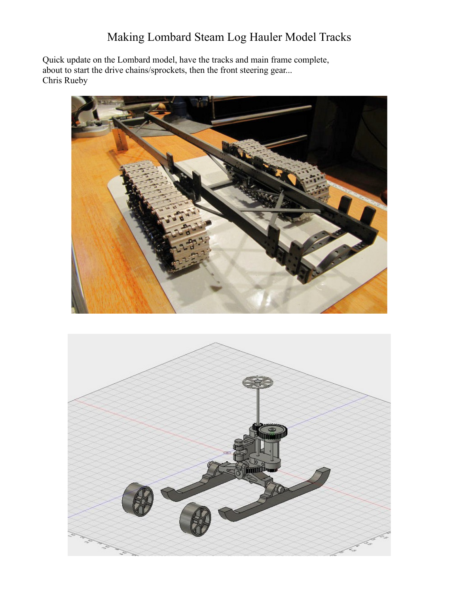## Making Lombard Steam Log Hauler Model Tracks

Quick update on the Lombard model, have the tracks and main frame complete, about to start the drive chains/sprockets, then the front steering gear... Chris Rueby



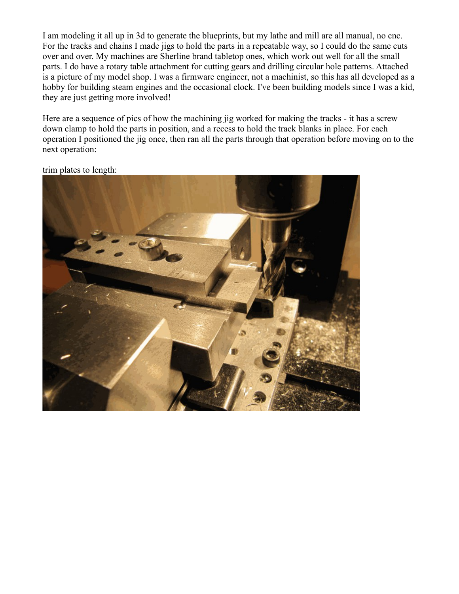I am modeling it all up in 3d to generate the blueprints, but my lathe and mill are all manual, no cnc. For the tracks and chains I made jigs to hold the parts in a repeatable way, so I could do the same cuts over and over. My machines are Sherline brand tabletop ones, which work out well for all the small parts. I do have a rotary table attachment for cutting gears and drilling circular hole patterns. Attached is a picture of my model shop. I was a firmware engineer, not a machinist, so this has all developed as a hobby for building steam engines and the occasional clock. I've been building models since I was a kid, they are just getting more involved!

Here are a sequence of pics of how the machining jig worked for making the tracks - it has a screw down clamp to hold the parts in position, and a recess to hold the track blanks in place. For each operation I positioned the jig once, then ran all the parts through that operation before moving on to the next operation:



trim plates to length: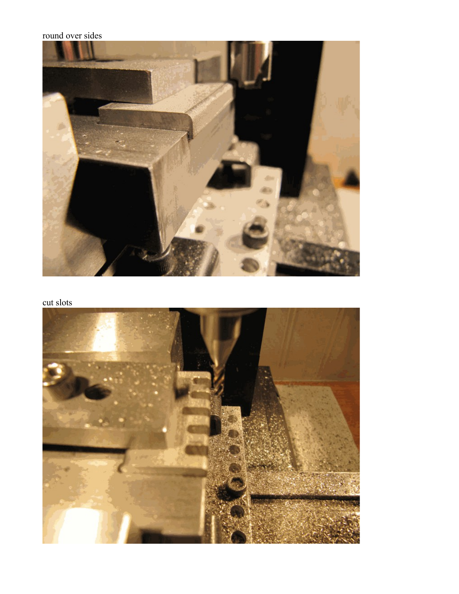## round over sides



cut slots

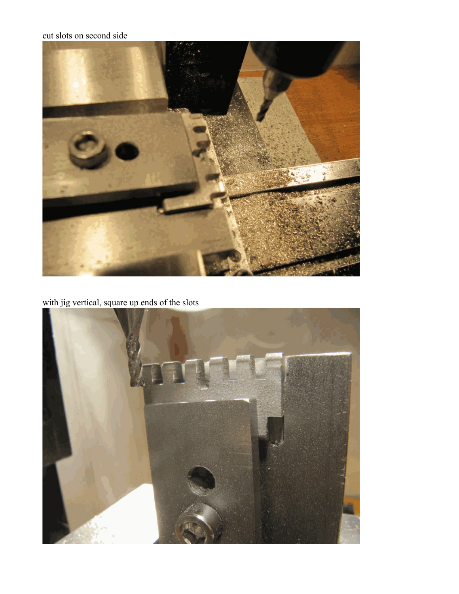## cut slots on second side



with jig vertical, square up ends of the slots

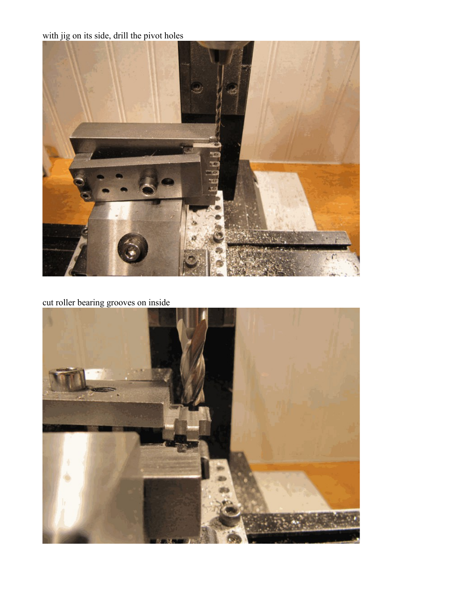with jig on its side, drill the pivot holes



cut roller bearing grooves on inside

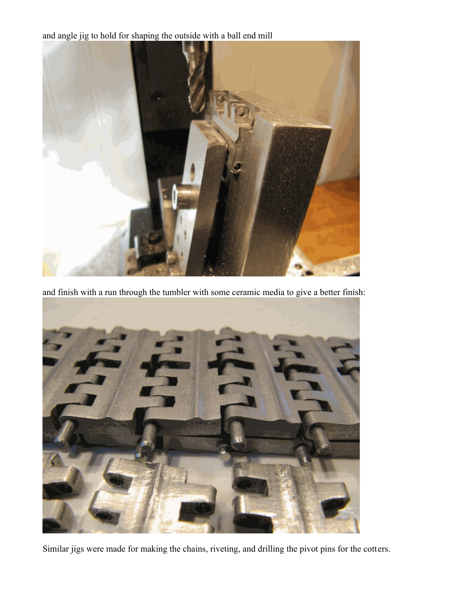and angle jig to hold for shaping the outside with a ball end mill



and finish with a run through the tumbler with some ceramic media to give a better finish:



Similar jigs were made for making the chains, riveting, and drilling the pivot pins for the cotters.